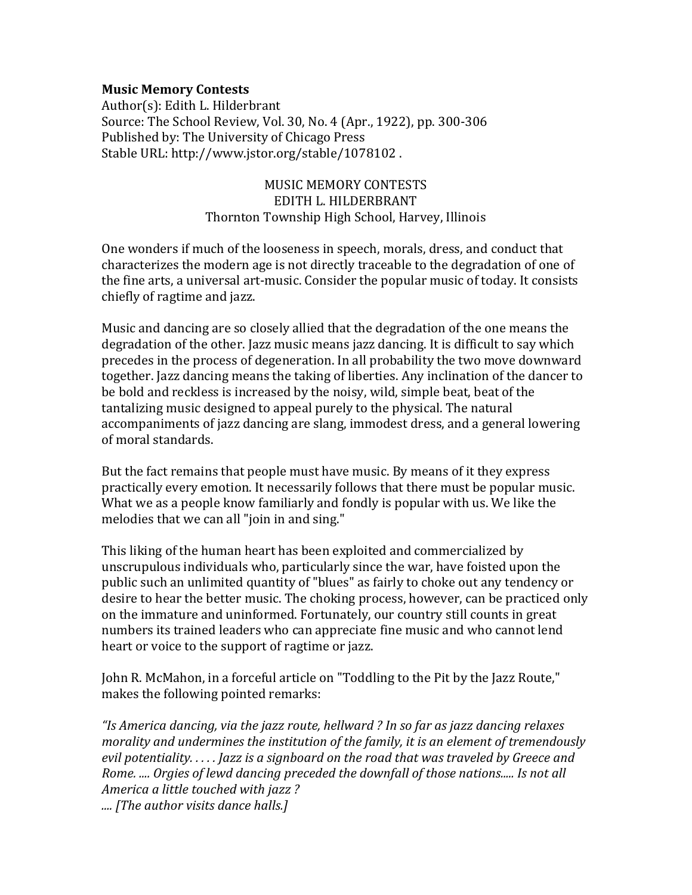## **Music Memory Contests**

Author(s): Edith L. Hilderbrant Source: The School Review, Vol. 30, No. 4 (Apr., 1922), pp. 300-306 Published by: The University of Chicago Press Stable URL: http://www.jstor.org/stable/1078102 .

## MUSIC MEMORY CONTESTS EDITH L. HILDERBRANT Thornton Township High School, Harvey, Illinois

One wonders if much of the looseness in speech, morals, dress, and conduct that characterizes the modern age is not directly traceable to the degradation of one of the fine arts, a universal art-music. Consider the popular music of today. It consists chiefly of ragtime and jazz.

Music and dancing are so closely allied that the degradation of the one means the degradation of the other. Jazz music means jazz dancing. It is difficult to say which precedes in the process of degeneration. In all probability the two move downward together. Jazz dancing means the taking of liberties. Any inclination of the dancer to be bold and reckless is increased by the noisy, wild, simple beat, beat of the tantalizing music designed to appeal purely to the physical. The natural accompaniments of jazz dancing are slang, immodest dress, and a general lowering of moral standards.

But the fact remains that people must have music. By means of it they express practically every emotion. It necessarily follows that there must be popular music. What we as a people know familiarly and fondly is popular with us. We like the melodies that we can all "join in and sing."

This liking of the human heart has been exploited and commercialized by unscrupulous individuals who, particularly since the war, have foisted upon the public such an unlimited quantity of "blues" as fairly to choke out any tendency or desire to hear the better music. The choking process, however, can be practiced only on the immature and uninformed. Fortunately, our country still counts in great numbers its trained leaders who can appreciate fine music and who cannot lend heart or voice to the support of ragtime or jazz.

John R. McMahon, in a forceful article on "Toddling to the Pit by the Jazz Route," makes the following pointed remarks:

*"Is America dancing, via the jazz route, hellward ? In so far as jazz dancing relaxes morality and undermines the institution of the family, it is an element of tremendously evil potentiality. . . . . Jazz is a signboard on the road that was traveled by Greece and Rome. .... Orgies of lewd dancing preceded the downfall of those nations..... Is not all America a little touched with jazz ? .... [The author visits dance halls.]*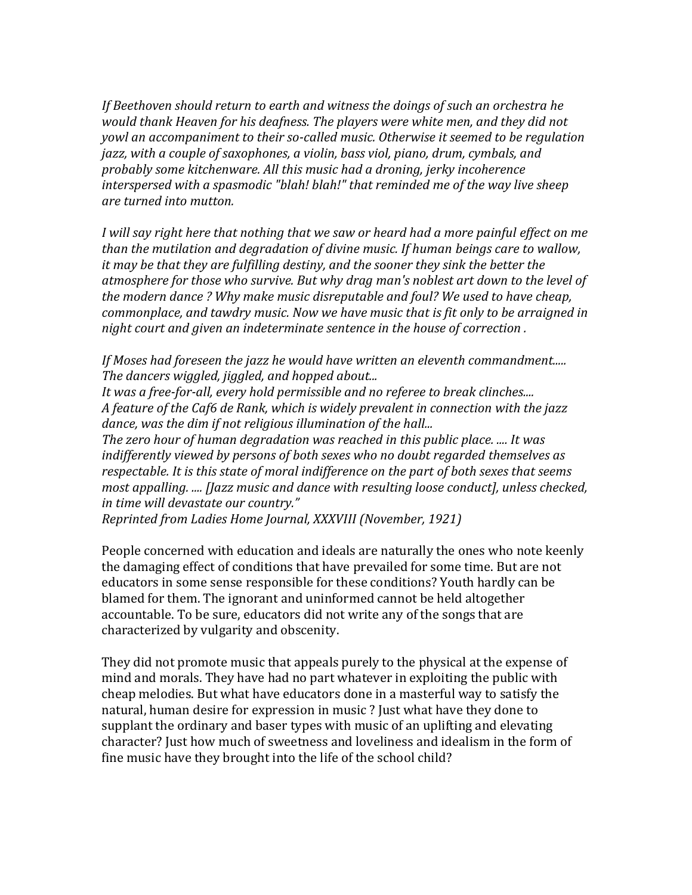*If Beethoven should return to earth and witness the doings of such an orchestra he would thank Heaven for his deafness. The players were white men, and they did not yowl an accompaniment to their so-called music. Otherwise it seemed to be regulation jazz, with a couple of saxophones, a violin, bass viol, piano, drum, cymbals, and probably some kitchenware. All this music had a droning, jerky incoherence interspersed with a spasmodic "blah! blah!" that reminded me of the way live sheep are turned into mutton.*

*I will say right here that nothing that we saw or heard had a more painful effect on me than the mutilation and degradation of divine music. If human beings care to wallow, it may be that they are fulfilling destiny, and the sooner they sink the better the atmosphere for those who survive. But why drag man's noblest art down to the level of the modern dance ? Why make music disreputable and foul? We used to have cheap, commonplace, and tawdry music. Now we have music that is fit only to be arraigned in night court and given an indeterminate sentence in the house of correction .*

*If Moses had foreseen the jazz he would have written an eleventh commandment..... The dancers wiggled, jiggled, and hopped about...*

*It was a free-for-all, every hold permissible and no referee to break clinches.... A feature of the Caf6 de Rank, which is widely prevalent in connection with the jazz dance, was the dim if not religious illumination of the hall...*

*The zero hour of human degradation was reached in this public place. .... It was indifferently viewed by persons of both sexes who no doubt regarded themselves as respectable. It is this state of moral indifference on the part of both sexes that seems most appalling. .... [Jazz music and dance with resulting loose conduct], unless checked, in time will devastate our country."*

*Reprinted from Ladies Home Journal, XXXVIII (November, 1921)*

People concerned with education and ideals are naturally the ones who note keenly the damaging effect of conditions that have prevailed for some time. But are not educators in some sense responsible for these conditions? Youth hardly can be blamed for them. The ignorant and uninformed cannot be held altogether accountable. To be sure, educators did not write any of the songs that are characterized by vulgarity and obscenity.

They did not promote music that appeals purely to the physical at the expense of mind and morals. They have had no part whatever in exploiting the public with cheap melodies. But what have educators done in a masterful way to satisfy the natural, human desire for expression in music ? Just what have they done to supplant the ordinary and baser types with music of an uplifting and elevating character? Just how much of sweetness and loveliness and idealism in the form of fine music have they brought into the life of the school child?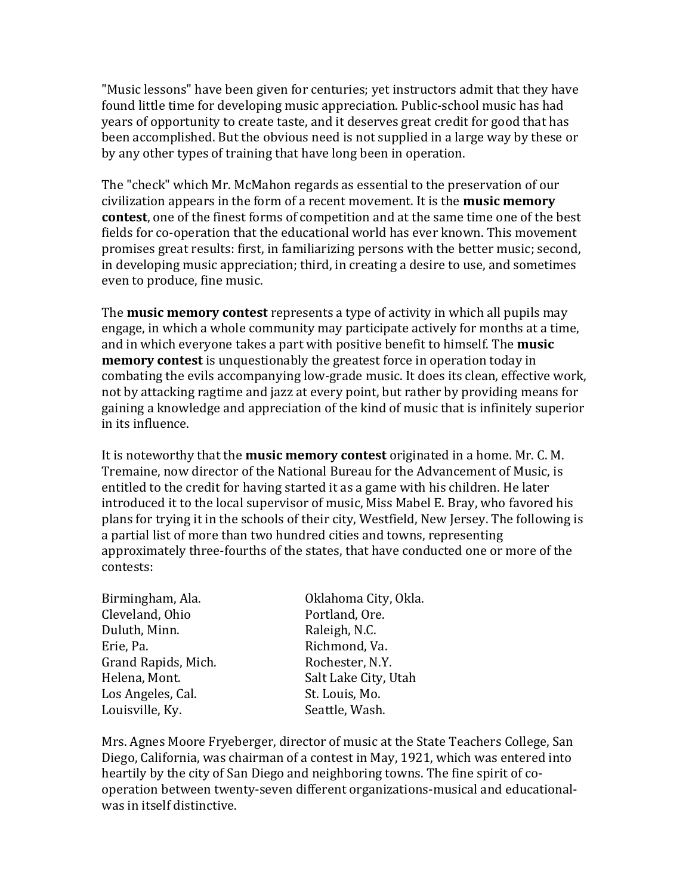"Music lessons" have been given for centuries; yet instructors admit that they have found little time for developing music appreciation. Public-school music has had years of opportunity to create taste, and it deserves great credit for good that has been accomplished. But the obvious need is not supplied in a large way by these or by any other types of training that have long been in operation.

The "check" which Mr. McMahon regards as essential to the preservation of our civilization appears in the form of a recent movement. It is the **music memory contest**, one of the finest forms of competition and at the same time one of the best fields for co-operation that the educational world has ever known. This movement promises great results: first, in familiarizing persons with the better music; second, in developing music appreciation; third, in creating a desire to use, and sometimes even to produce, fine music.

The **music memory contest** represents a type of activity in which all pupils may engage, in which a whole community may participate actively for months at a time, and in which everyone takes a part with positive benefit to himself. The **music memory contest** is unquestionably the greatest force in operation today in combating the evils accompanying low-grade music. It does its clean, effective work, not by attacking ragtime and jazz at every point, but rather by providing means for gaining a knowledge and appreciation of the kind of music that is infinitely superior in its influence.

It is noteworthy that the **music memory contest** originated in a home. Mr. C. M. Tremaine, now director of the National Bureau for the Advancement of Music, is entitled to the credit for having started it as a game with his children. He later introduced it to the local supervisor of music, Miss Mabel E. Bray, who favored his plans for trying it in the schools of their city, Westfield, New Jersey. The following is a partial list of more than two hundred cities and towns, representing approximately three-fourths of the states, that have conducted one or more of the contests:

| Birmingham, Ala.    | Oklahoma City, Okla. |
|---------------------|----------------------|
| Cleveland, Ohio     | Portland, Ore.       |
| Duluth, Minn.       | Raleigh, N.C.        |
| Erie, Pa.           | Richmond, Va.        |
| Grand Rapids, Mich. | Rochester, N.Y.      |
| Helena, Mont.       | Salt Lake City, Utah |
| Los Angeles, Cal.   | St. Louis, Mo.       |
| Louisville, Ky.     | Seattle, Wash.       |
|                     |                      |

Mrs. Agnes Moore Fryeberger, director of music at the State Teachers College, San Diego, California, was chairman of a contest in May, 1921, which was entered into heartily by the city of San Diego and neighboring towns. The fine spirit of cooperation between twenty-seven different organizations-musical and educationalwas in itself distinctive.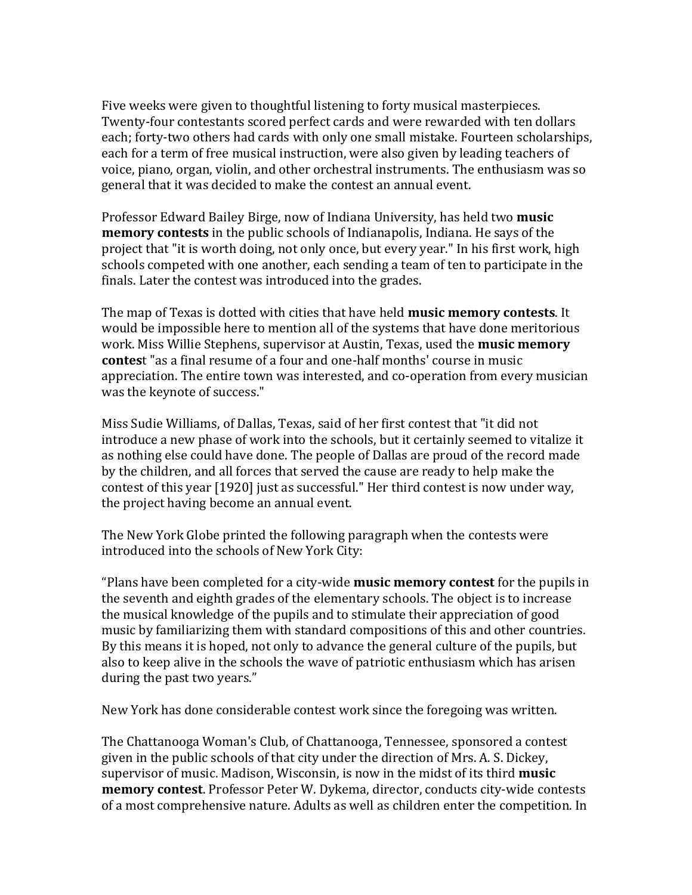Five weeks were given to thoughtful listening to forty musical masterpieces. Twenty-four contestants scored perfect cards and were rewarded with ten dollars each; forty-two others had cards with only one small mistake. Fourteen scholarships, each for a term of free musical instruction, were also given by leading teachers of voice, piano, organ, violin, and other orchestral instruments. The enthusiasm was so general that it was decided to make the contest an annual event.

Professor Edward Bailey Birge, now of Indiana University, has held two **music memory contests** in the public schools of Indianapolis, Indiana. He says of the project that "it is worth doing, not only once, but every year." In his first work, high schools competed with one another, each sending a team of ten to participate in the finals. Later the contest was introduced into the grades.

The map of Texas is dotted with cities that have held **music memory contests**. It would be impossible here to mention all of the systems that have done meritorious work. Miss Willie Stephens, supervisor at Austin, Texas, used the **music memory contes**t "as a final resume of a four and one-half months' course in music appreciation. The entire town was interested, and co-operation from every musician was the keynote of success."

Miss Sudie Williams, of Dallas, Texas, said of her first contest that "it did not introduce a new phase of work into the schools, but it certainly seemed to vitalize it as nothing else could have done. The people of Dallas are proud of the record made by the children, and all forces that served the cause are ready to help make the contest of this year [1920] just as successful." Her third contest is now under way, the project having become an annual event.

The New York Globe printed the following paragraph when the contests were introduced into the schools of New York City:

"Plans have been completed for a city-wide **music memory contest** for the pupils in the seventh and eighth grades of the elementary schools. The object is to increase the musical knowledge of the pupils and to stimulate their appreciation of good music by familiarizing them with standard compositions of this and other countries. By this means it is hoped, not only to advance the general culture of the pupils, but also to keep alive in the schools the wave of patriotic enthusiasm which has arisen during the past two years."

New York has done considerable contest work since the foregoing was written.

The Chattanooga Woman's Club, of Chattanooga, Tennessee, sponsored a contest given in the public schools of that city under the direction of Mrs. A. S. Dickey, supervisor of music. Madison, Wisconsin, is now in the midst of its third **music memory contest**. Professor Peter W. Dykema, director, conducts city-wide contests of a most comprehensive nature. Adults as well as children enter the competition. In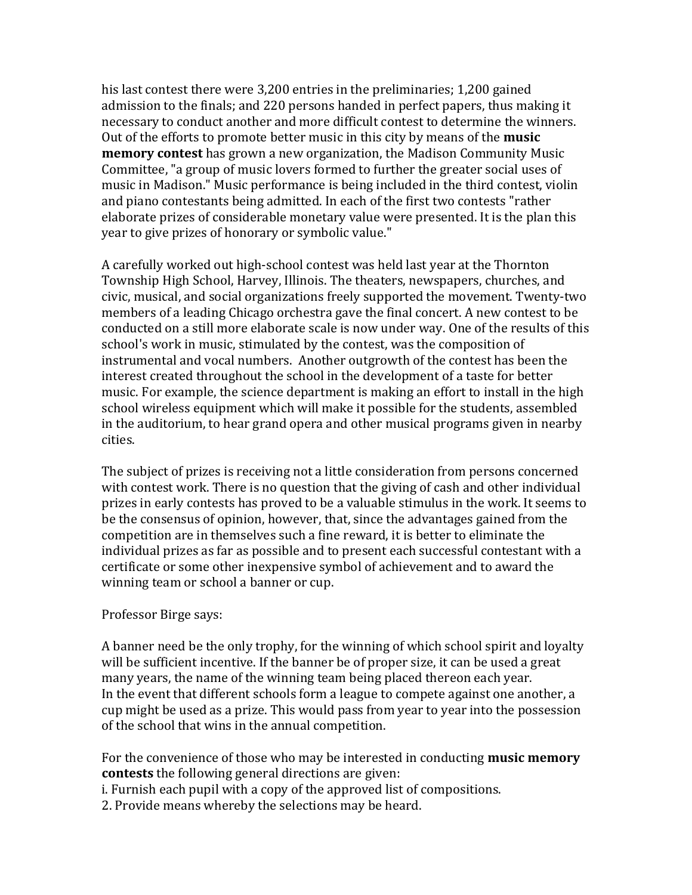his last contest there were 3,200 entries in the preliminaries; 1,200 gained admission to the finals; and 220 persons handed in perfect papers, thus making it necessary to conduct another and more difficult contest to determine the winners. Out of the efforts to promote better music in this city by means of the **music memory contest** has grown a new organization, the Madison Community Music Committee, "a group of music lovers formed to further the greater social uses of music in Madison." Music performance is being included in the third contest, violin and piano contestants being admitted. In each of the first two contests "rather elaborate prizes of considerable monetary value were presented. It is the plan this year to give prizes of honorary or symbolic value."

A carefully worked out high-school contest was held last year at the Thornton Township High School, Harvey, Illinois. The theaters, newspapers, churches, and civic, musical, and social organizations freely supported the movement. Twenty-two members of a leading Chicago orchestra gave the final concert. A new contest to be conducted on a still more elaborate scale is now under way. One of the results of this school's work in music, stimulated by the contest, was the composition of instrumental and vocal numbers. Another outgrowth of the contest has been the interest created throughout the school in the development of a taste for better music. For example, the science department is making an effort to install in the high school wireless equipment which will make it possible for the students, assembled in the auditorium, to hear grand opera and other musical programs given in nearby cities.

The subject of prizes is receiving not a little consideration from persons concerned with contest work. There is no question that the giving of cash and other individual prizes in early contests has proved to be a valuable stimulus in the work. It seems to be the consensus of opinion, however, that, since the advantages gained from the competition are in themselves such a fine reward, it is better to eliminate the individual prizes as far as possible and to present each successful contestant with a certificate or some other inexpensive symbol of achievement and to award the winning team or school a banner or cup.

## Professor Birge says:

A banner need be the only trophy, for the winning of which school spirit and loyalty will be sufficient incentive. If the banner be of proper size, it can be used a great many years, the name of the winning team being placed thereon each year. In the event that different schools form a league to compete against one another, a cup might be used as a prize. This would pass from year to year into the possession of the school that wins in the annual competition.

For the convenience of those who may be interested in conducting **music memory contests** the following general directions are given:

i. Furnish each pupil with a copy of the approved list of compositions.

2. Provide means whereby the selections may be heard.